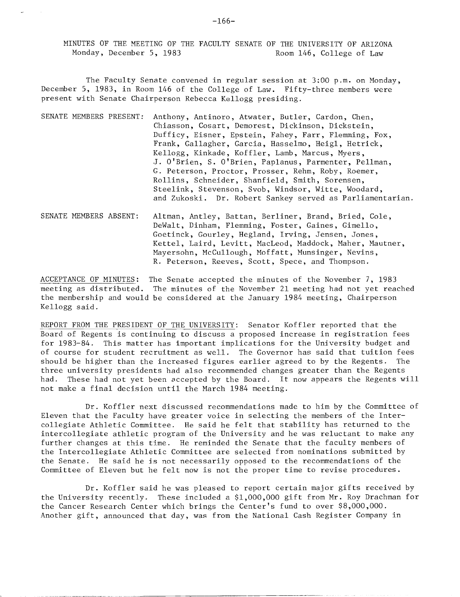MINUTES OF THE MEETING OF THE FACULTY SENATE OF THE UNIVERSITY OF ARIZONA Monday, December 5, 1983 Room 146, College of Law

The Faculty Senate convened in regular session at 3:00 p.m. on Monday, December 5, 1983, in Room 146 of the College of Law. Fifty-three members were present with Senate Chairperson Rebecca Kellogg presiding.

- SENATE MEMBERS PRESENT: Anthony, Antinoro, Atwater, Butler, Cardon, Chen, Chiasson, Cosart, Demorest, Dickinson, Dickstein, Dufficy, Eisner, Epstein, Fahey, Farr, Flemming, Fox, Frank, Gallagher, Garcia, Hasselmo, Heigl, Hetrick, Kellogg, Kinkade, Koffler, Lamb, Marcus, Myers, J. O'Brien, S. O'Brien, Paplanus, Parmenter, Pellman, G. Peterson, Proctor, Prosser, Rehm, Roby, Roemer, Rollins, Schneider, Shanfield, Smith, Sorensen, Steelink, Stevenson, Svob, Windsor, Witte, Woodard, and Zukoski. Dr. Robert Sankey served as Parliamentarian.
- SENATE MEMBERS ABSENT: Altman, Antley, Battan, Berliner, Brand, Bried, Cole, DeWalt, Dinham, Flemming, Foster, Gaines, Gimello, Goetinck, Gourley, Hegland, Irving, Jensen, Jones, Kettel, Laird, Levitt, MacLeod, Maddock, Maher, Mautner, Mayersohn, McCullough, Moffatt, Munsinger, Nevins, R. Peterson, Reeves, Scott, Spece, and Thompson.

ACCEPTANCE OF MINUTES: The Senate accepted the minutes of the November 7, 1983 meeting as distributed. The minutes of the November 21 meeting had not yet reached the membership and would be considered at the January 1984 meeting, Chairperson Kellogg said.

REPORT FROM THE PRESIDENT OF THE UNIVERSITY: Senator Koffler reported that the Board of Regents is continuing to discuss a proposed increase in registration fees for 1983-84. This matter has important implications for the University budget and of course for student recruitment as well. The Governor has said that tuition fees should he higher than the increased figures earlier agreed to by the Regents. The three university presidents had also recommended changes greater than the Regents had. These had not yet been accepted by the Board. It now appears the Regents will not make a final decision until the March 1984 meeting.

Dr. Koffler next discussed recommendations made to him by the Committee of Eleven that the Faculty have greater voice in selecting the members of the Intercollegiate Athletic Committee. He said he felt that stability has returned to the intercollegiate athletic program of the University and he was reluctant to make any further changes at this time. He reminded the Senate that the faculty members of the Intercollegiate Athletic Committee are selected from nominations submitted by the Senate. He said he is not necessarily opposed to the recommendations of the Committee of Eleven but he felt now is not the proper time to revise procedures.

Dr. Koffler said he was pleased to report certain major gifts received by the University recently. These included a \$1,000,000 gift from Mr. Roy Drachman for the Cancer Research Center which brings the Center's fund to over \$8,000,000. Another gift, announced that day, was from the National Cash Register Company in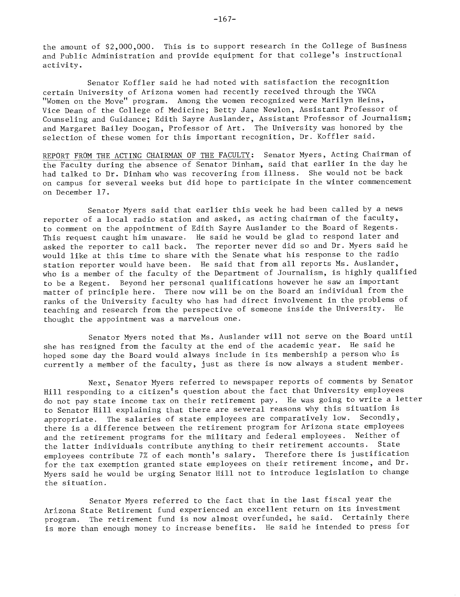the amount of \$2,000,000. This is to support research in the College of Business and Public Administration and provide equipment for that college's instructional activity.

Senator Koffler said he had noted with satisfaction the recognition certain University of Arizona women had recently received through the YWCA "Women ou the Move" program. Among the women recognized were Marilyn Heins, Vice Dean of the College of Medicine; Betty Jane Newlon, Assistant Professor of Counseling and Guidance; Edith Sayre Auslander, Assistant Professor of Journalism; and Margaret Bailey Doogan, Professor of Art. The University was honored by the selection of these women for this important recognition, Dr. Koffler said.

REPORT FROM THE ACTING CHAIRMAN OF THE FACULTY: Senator Myers, Acting Chairman of the Faculty during the absence of Senator Dinham, said that earlier in the day he had talked to Dr. Dinham who was recovering from illness. She would not be back on campus for several weeks but did hope to participate in the winter commencement on December 17.

Senator Myers said that earlier this week he had been called by a news reporter of a local radio station and asked, as acting chairman of the faculty, to comment on the appointment of Edith Sayre Auslander to the Board of Regents. This request caught him unaware. He said he would be glad to respond later and asked the reporter to call back. The reporter never did so and Dr. Myers said he would like at this time to share with the Senate what his response to the radio station reporter would have been. He said that from all reports Ms. Auslander, who is a member of the faculty of the Department of Journalism, is highly qualified to be a Regent. Beyond her personal qualifications however he saw an important matter of principle here. There now will be on the Board an individual from the ranks of the University faculty who has had direct involvement in the problems of teaching and research from the perspective of someone inside the University. He thought the appointment was a marvelous one.

Senator Myers noted that Ms. Auslander will not serve on the Board until she has resigned from the faculty at the end of the academic year. He said he hoped some day the Board would always include in its membership a person who is currently a member of the faculty, just as there is now always a student member.

Next, Senator Myers referred to newspaper reports of comments by Senator Hill responding to a citizen's question about the fact that University employees do not pay state income tax on their retirement pay. He was going to write a letter to Senator Hill explaining that there are several reasons why this situation is appropriate. The salaries of state employees are comparatively low. Secondly, there is a dífference between the retirement program for Arizona state employees and the retirement programs for the military and federal employees. Neither of the latter individuals contribute anything to their retirement accounts. State employees contribute 7% of each month's salary. Therefore there is justification for the tax exemption granted state employees on their retirement income, and Dr. Myers said he would be urging Senator Hill not to introduce legislation to change the situation.

Senator Myers referred to the fact that in the last fiscal year the Arizona State Retirement fund experienced an excellent return on its Investment program. The retirement fund is now almost overfunded, he said. Certainly there is more than enough money to increase benefits. He said he intended to press for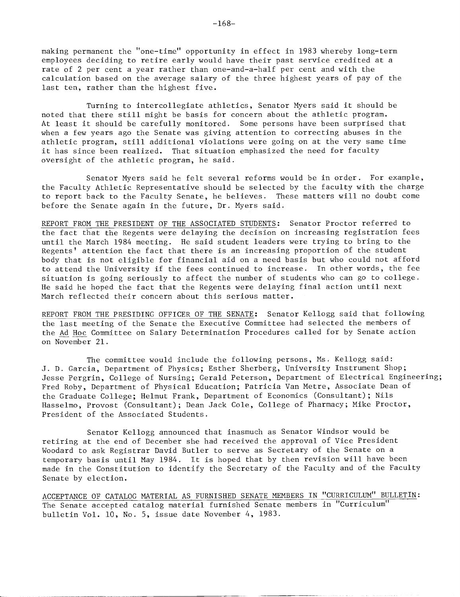making permanent the "one-time" opportunity in effect in 1983 whereby long-term employees deciding to retire early would have their past service credited at a rate of 2 per cent a year rather than one-and-a-half per cent and with the calculation based on the average salary of the three highest years of pay of the last ten, rather than the highest five.

Turning to intercollegiate athletics, Senator Myers said it should be noted that there still might be basis for concern about the athletic program. At least it should be carefully monitored. Some persons have been surprised that when a few years ago the Senate was giving attention to correcting abuses in the athletic program, still additional violations were going on at the very same time it has since been realized. That situation emphasized the need for faculty oversight of the athletic program, he said.

Senator Myers said he felt several reforms would be in order. For example, the Faculty Athletic Representative should be selected by the faculty with the charge to report back to the Faculty Senate, he believes. These matters will no doubt come before the Senate again in the future, Dr. Myers said.

REPORT FROM THE PRESIDENT OF THE ASSOCIATED STUDENTS: Senator Proctor referred to the fact that the Regents were delaying the decision on increasing registration fees until the March 1984 meeting. He said student leaders were trying to bring to the Regents' attention the fact that there is an increasing proportion of the student body that is not eligible for financial aid on a need basis but who could not afford to attend the University if the fees continued to increase. In other words, the fee situation is going seriously to affect the number of students who can go to college. He said he hoped the fact that the Regents were delaying final action until next March reflected their concern about this serious matter.

REPORT FROM THE PRESIDING OFFICER OF THE SENATE: Senator Kellogg said that following the last meeting of the Senate the Executive Committee had selected the members of the Ad Hoc Committee on Salary Determination Procedures called for by Senate action on November 21.

The committee would include the following persons, Ms. Kellogg said: J. D. Garcia, Department of Physics; Esther Sherberg, University Instrument Shop; Jesse Pergrin, College of Nursing; Gerald Peterson, Department of Electrical Engineering; Fred Roby, Department of Physical Education; Patricia Van Metre, Associate Dean of the Graduate College; Helmut Frank, Department of Economics (Consultant); Nils Hasselmo, Provost (Consultant); Dean Jack Cole, College of Pharmacy; Mike Proctor, President of the Associated Students.

Senator Kellogg announced that inasmuch as Senator Windsor would be retiring at the end of December she had received the approval of Vice President Woodard to ask Registrar David Butler to serve as Secretary of the Senate on a temporary basis until May 1984. It is hoped that by then revision will have been made in the Constitution to identify the Secretary of the Faculty and of the Faculty Senate by election.

ACCEPTANCE OF CATALOG MATERIAL AS FURNISHED SENATE MEMBERS IN "CURRICULUM" BULLETIN: The Senate accepted catalog material furnished Senate members in "Curriculum" bulletin Vol. lO, No. 5, issue date November 4, 1983.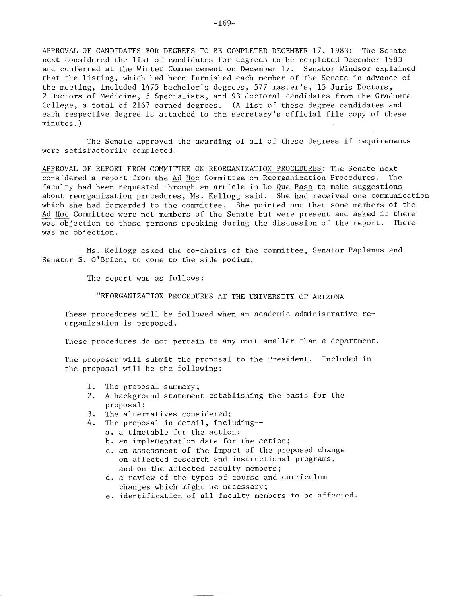APPROVAL OF CANDIDATES FOR DEGREES TO BE COMPLETED DECEMBER 17, 1983: The Senate next considered the list of candidates for degrees to be completed December 1983 and conferred at the Winter Commencement on December 17. Senator Windsor explained that the listing, which had been furnished each member of the Senate in advance of the meeting, included 1475 bachelor's degrees, 577 master's, 15 Juris Doctors, 2 Doctors of Medicine, 5 Specialists, and 93 doctoral candidates from the Graduate College, a total of 2167 earned degrees. (A list of these degree candidates and each respective degree is attached to the secretary's official file copy of these minutes.)

The Senate approved the awarding of all of these degrees if requirements were satisfactorily completed.

APPROVAL OF REPORT FROM COMMITTEE ON REORGANIZATION PROCEDURES: The Senate next considered a report from the Ad Hoc Committee on Reorganization Procedures. The faculty had been requested through an article in Lo Que Pasa to make suggestions about reorganization procedures, Ms. Kellogg said. She had received one communication which she had forwarded to the committee. She pointed out that some members of the Ad Hoc Committee were not members of the Senate but were present and asked if there was objection to those persons speaking during the discussion of the report. There was no objection.

Ms. Kellogg asked the co-chairs of the committee, Senator Paplanus and Senator S. O'Brien, to come to the side podium.

The report was as follows:

"REORGANIZATION PROCEDURES AT THE UNIVERSITY OF ARIZONA

These procedures will be followed when an academic administrative reorganization is proposed.

These procedures do not pertain to any unit smaller than a department.

The proposer will submit the proposal to the President. Included in the proposal will be the following:

- 1. The proposal summary;
- A background statement establishing the basis for the proposal;
- 3. The alternatives considered;
- 4. The proposal in detail, including-
	- a, a timetable for the action;
	- b. an implementation date for the action;
	- an assessment of the impact of the proposed change on affected research and instructional programs, and on the affected faculty members;
	- a review of the types of course and curriculum changes which might be necessary;
	- identification of all faculty members to be affected.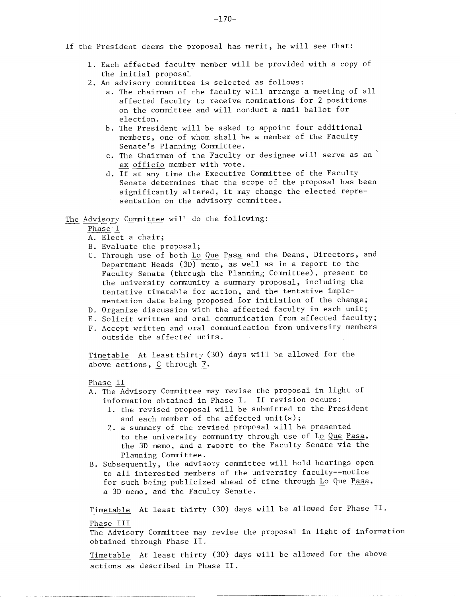- If the President deems the proposal has merit, he will see that:
	- Each affected faculty member will be provided with a copy of the initial proposal
	- 2. An advisory committee is selected as follows:
		- a. The chairman of the faculty will arrange a meeting of all affected faculty to receive nominations for 2 positions on the committee and will conduct a mail ballot for election.
		- b. The President will be asked to appoint four additional members, one of whom shall be a member of the Faculty Senate's Planning Committee.
		- c. The Chairman of the Faculty or designee will serve as an ex officio member with vote.
		- d. If at any time the Executive Committee of the Faculty Senate determines that the scope of the proposal has been significantly altered, it may change the elected representation on the advisory committee.

## The Advisory Committee will do the following:

Phase I

- Elect a chair;
- Evaluate the proposal;
- C. Through use of both Lo Que Pasa and the Deans, Directors, and Department Heads (3D) memo, as well as in a report to the Faculty Senate (through the Planning Committee), present to the university community a summary proposal, including the tentative timetable for action, and the tentative implementation date being proposed for initiation of the change;
- D. Organize discussion with the affected faculty in each unit;
- E. Solicit written and oral communication from affected faculty;
- Accept written and oral communication from university members outside the affected units.

Timetable At least thirty (30) days will be allowed for the above actions, C through F.

## Phase II

- A. The Advisory Committee may revise the proposal in light of information obtained in Phase I. If revision occurs:
	- 1. the revised proposal will be submitted to the President and each member of the affected unit(s);
	- 2. a summary of the revised proposal will be presented to the university community through use of Lo Que Pasa, the 3D memo, and a report to the Faculty Senate via the Planning Committee.
- B. Subsequently, the advisory committee will hold hearings open to all interested members of the university faculty--notice for such being publicized ahead of time through Lo Que Pasa, a 3D memo, and the Faculty Senate.

Timetable At least thirty (30) days will be allowed for Phase II. Phase III

The Advisory Committee may revise the proposal in light of information obtained through Phase II.

Timetable At least thirty (30) days will be allowed for the above actions as described in Phase II.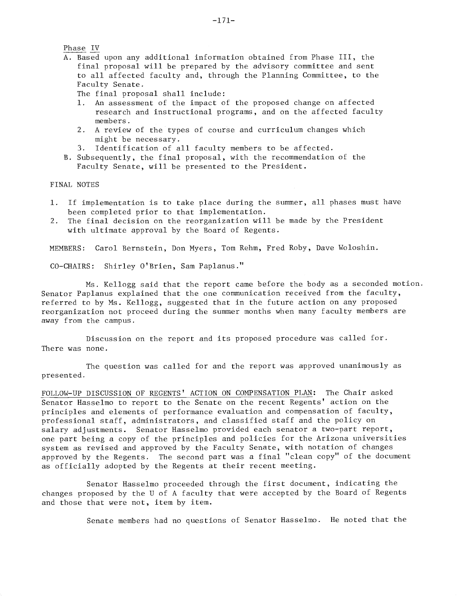A. Based upon any additional information obtained from Phase III, the final proposal will be prepared by the advisory committee and sent to all affected faculty and, through the Planning Committee, to the Faculty Senate.

The final proposal shall include:

- 1. An assessment of the impact of the proposed change on affected research and instructional programs, and on the affected faculty members.
- A review of the types of course and curriculum changes which might be necessary.
- Identification of all faculty members to be affected.  $3.$
- B. Subsequently, the final proposal, with the recommendation of the Faculty Senate, will be presented to the President.

FINAL NOTES

- If implementation is to take place during the summer, all phases must have been completed prior to that implementation.
- The final decision on the reorganization will be made by the President  $2.$ with ultimate approval by the Board of Regents.

MEMBERS: Carol Bernstein, Don Myers, Tom Rehm, Fred Roby, Dave Woloshin.

CO-CHAIRS: Shirley O'Brien, Sam Paplanus."

Ms. Kellogg said that the report came before the body as a seconded motion. Senator Paplanus explained that the one communication received from the faculty, referred to by Ms. Kellogg, suggested that in the future action on any proposed reorganization not proceed during the summer months when many faculty members are away from the campus.

Discussion on the report and its proposed procedure was called for. There was none.

The question was called for and the report was approved unanimously as presented.

FOLLOW-UP DISCUSSION OF REGENTS' ACTION ON COMPENSATION PLAN: The Chair asked Senator Hasselmo to report to the Senate on the recent Regents' action on the principles and elements of performance evaluation and compensation of faculty, professional staff, administrators, and classified staff and the policy on salary adjustments. Senator Hasselmo provided each senator a two-part report, one part being a copy of the principles and policies for the Arizona universities system as revised and approved by the Faculty Senate, with notation of changes approved by the Regents. The second part was a final "clean copy" of the document as officially adopted by the Regents at their recent meeting.

Senator Hasselmo proceeded through the first document, indicating the changes proposed by the U of A faculty that were accepted by the Board of Regents and those that were not, item by item.

Senate members had no questions of Senator Hasselmo. He noted that the